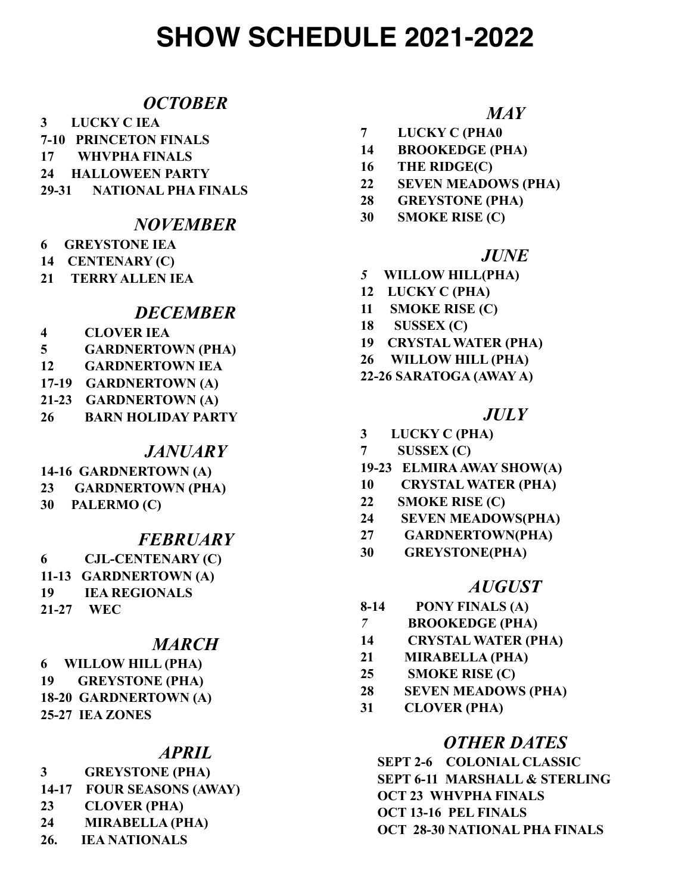# **SHOW SCHEDULE 2021-2022**

### *OCTOBER*

- **3 LUCKY C IEA**
- **7-10 PRINCETON FINALS**
- **17 WHVPHA FINALS**
- **24 HALLOWEEN PARTY**
- **29-31 NATIONAL PHA FINALS**

### *NOVEMBER*

- **6 GREYSTONE IEA**
- **14 CENTENARY (C)**
- **21 TERRY ALLEN IEA**

## *DECEMBER*

- **4 CLOVER IEA**
- **5 GARDNERTOWN (PHA)**
- **12 GARDNERTOWN IEA**
- **17-19 GARDNERTOWN (A)**
- **21-23 GARDNERTOWN (A)**
- **26 BARN HOLIDAY PARTY**

#### *JANUARY*

- **14-16 GARDNERTOWN (A)**
- **23 GARDNERTOWN (PHA)**
- **30 PALERMO (C)**

#### *FEBRUARY*

**6 CJL-CENTENARY (C) 11-13 GARDNERTOWN (A) 19 IEA REGIONALS 21-27 WEC**

## *MARCH*

**6 WILLOW HILL (PHA) 19 GREYSTONE (PHA) 18-20 GARDNERTOWN (A) 25-27 IEA ZONES**

## *APRIL*

**3 GREYSTONE (PHA) 14-17 FOUR SEASONS (AWAY) 23 CLOVER (PHA) 24 MIRABELLA (PHA)**

**26. IEA NATIONALS**

# *MAY*

- **7 LUCKY C (PHA0**
- **14 BROOKEDGE (PHA)**
- **16 THE RIDGE(C)**
- **22 SEVEN MEADOWS (PHA)**
- **28 GREYSTONE (PHA)**
- **30 SMOKE RISE (C)**

#### *JUNE*

- *5* **WILLOW HILL(PHA)**
- **12 LUCKY C (PHA)**
- **11 SMOKE RISE (C)**
- **18 SUSSEX (C)**
- **19 CRYSTAL WATER (PHA)**
- **26 WILLOW HILL (PHA)**
- **22-26 SARATOGA (AWAY A)**

### *JULY*

- **3 LUCKY C (PHA)**
- **7 SUSSEX (C)**
- **19-23 ELMIRA AWAY SHOW(A)**
- **10 CRYSTAL WATER (PHA)**
- **22 SMOKE RISE (C)**
- **24 SEVEN MEADOWS(PHA)**
- **27 GARDNERTOWN(PHA)**
- **30 GREYSTONE(PHA)**

#### *AUGUST*

- **8-14 PONY FINALS (A)**
- *7* **BROOKEDGE (PHA)**
- **14 CRYSTAL WATER (PHA)**
- **21 MIRABELLA (PHA)**
- **25 SMOKE RISE (C)**
- **28 SEVEN MEADOWS (PHA)**
- **31 CLOVER (PHA)**

## *OTHER DATES*

 **SEPT 2-6 COLONIAL CLASSIC SEPT 6-11 MARSHALL & STERLING OCT 23 WHVPHA FINALS OCT 13-16 PEL FINALS OCT 28-30 NATIONAL PHA FINALS**